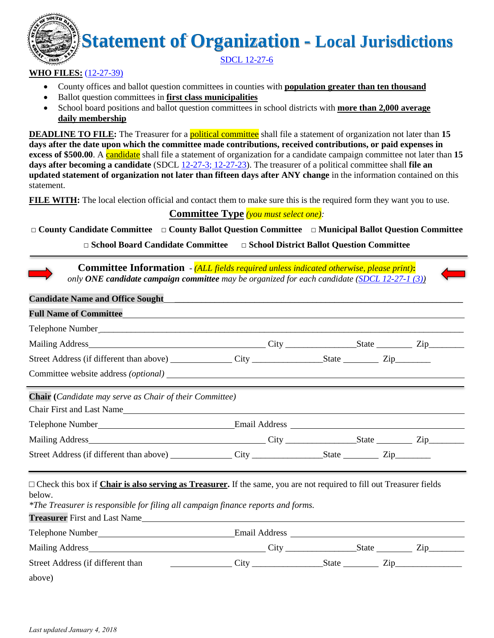# **Statement of Organization - Local Jurisdictions**

SDCL 12-27-6

#### **WHO FILES:** (12-27-39)

- County offices and ballot question committees in counties with **population greater than ten thousand**
- Ballot question committees in **first class municipalities**
- School board positions and ballot question committees in school districts with **more than 2,000 average daily membership**

**DEADLINE TO FILE:** The Treasurer for a **political committee** shall file a statement of organization not later than 15 **days after the date upon which the committee made contributions, received contributions, or paid expenses in excess of \$500.00**. A **candidate** shall file a statement of organization for a candidate campaign committee not later than 15 **days after becoming a candidate** (SDCL 12-27-3; 12-27-23). The treasurer of a political committee shall **file an updated statement of organization not later than fifteen days after ANY change** in the information contained on this statement.

**FILE WITH:** The local election official and contact them to make sure this is the required form they want you to use.

#### **Committee Type** *(you must select one):*

□ **County Candidate Committee** □ **County Ballot Question Committee** □ **Municipal Ballot Question Committee**

□ **School Board Candidate Committee** □ **School District Ballot Question Committee**

| <b>Committee Information</b> - (ALL fields required unless indicated otherwise, please print):<br>only ONE candidate campaign committee may be organized for each candidate (SDCL 12-27-1 (3))                       |                                                                          |  |  |  |  |  |
|----------------------------------------------------------------------------------------------------------------------------------------------------------------------------------------------------------------------|--------------------------------------------------------------------------|--|--|--|--|--|
| <b>Candidate Name and Office Sought</b>                                                                                                                                                                              |                                                                          |  |  |  |  |  |
| <b>Full Name of Committee</b>                                                                                                                                                                                        | <u> 1989 - John Stein, Amerikaansk politiker (</u>                       |  |  |  |  |  |
|                                                                                                                                                                                                                      |                                                                          |  |  |  |  |  |
|                                                                                                                                                                                                                      |                                                                          |  |  |  |  |  |
|                                                                                                                                                                                                                      |                                                                          |  |  |  |  |  |
|                                                                                                                                                                                                                      |                                                                          |  |  |  |  |  |
| Chair (Candidate may serve as Chair of their Committee)<br>Chair First and Last Name                                                                                                                                 |                                                                          |  |  |  |  |  |
|                                                                                                                                                                                                                      |                                                                          |  |  |  |  |  |
|                                                                                                                                                                                                                      |                                                                          |  |  |  |  |  |
|                                                                                                                                                                                                                      |                                                                          |  |  |  |  |  |
| □ Check this box if Chair is also serving as Treasurer. If the same, you are not required to fill out Treasurer fields<br>below.<br>*The Treasurer is responsible for filing all campaign finance reports and forms. |                                                                          |  |  |  |  |  |
|                                                                                                                                                                                                                      |                                                                          |  |  |  |  |  |
|                                                                                                                                                                                                                      |                                                                          |  |  |  |  |  |
| Street Address (if different than                                                                                                                                                                                    | $City$ $\hspace{1cm} \hspace{1cm} State$ $\hspace{1cm} \hspace{1cm} Zip$ |  |  |  |  |  |
| above)                                                                                                                                                                                                               |                                                                          |  |  |  |  |  |